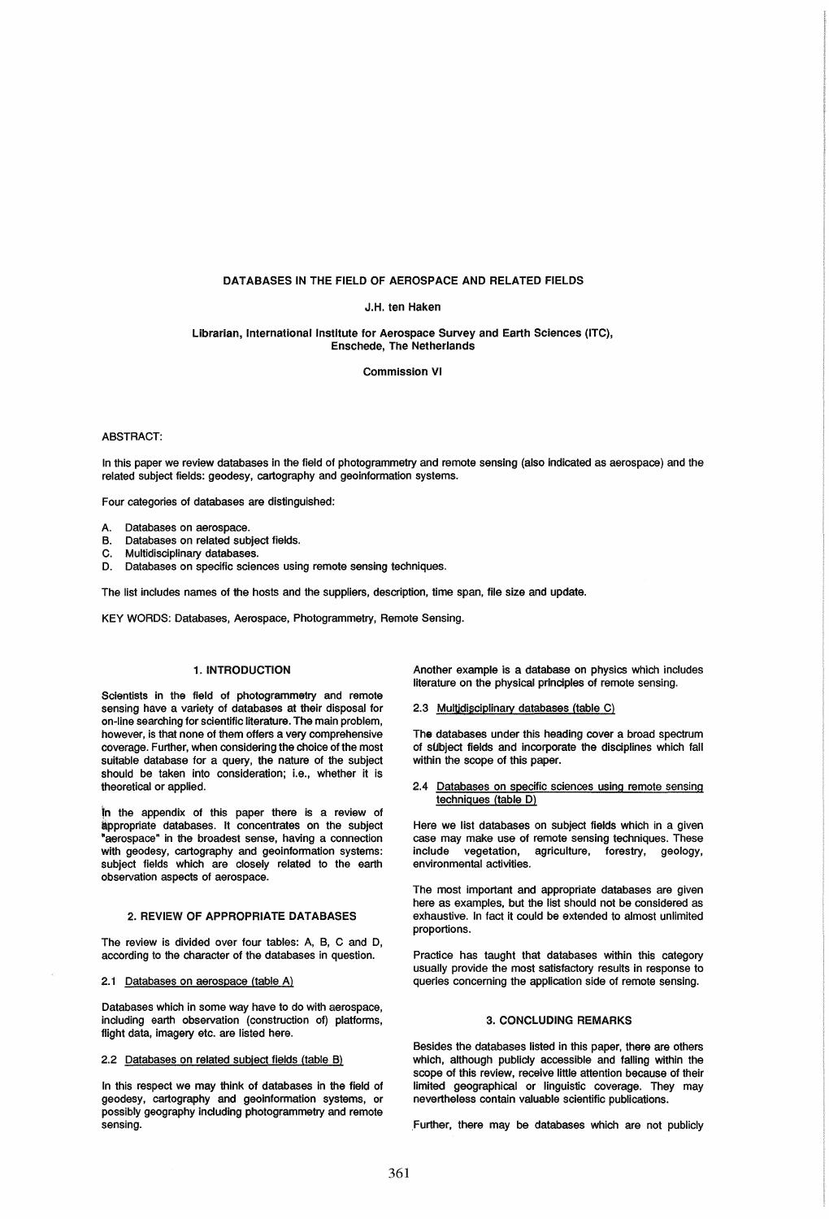#### DATABASES IN THE FIELD OF AEROSPACE AND RELATED FIELDS

## J.H. ten Haken

#### librarian, International Institute for Aerospace Survey and Earth Sciences (ITC), Enschede, The Netherlands

Commission VI

## ABSTRACT:

In this paper we review databases in the field of photogrammetry and remote sensing (also indicated as aerospace) and the related subject fields: geodesy, cartography and geoinformation systems.

Four categories of databases are distinguished:

- A. Databases on aerospace.
- B. Databases on related subject fields.
- C. Multidisciplinary databases.
- D. Databases on specific sciences using remote sensing techniques.

The list includes names of the hosts and the suppliers, description, time span, file size and update.

KEY WORDS: Databases, Aerospace, Photogrammetry, Remote Sensing.

## 1. INTRODUCTION

Scientists in the field of photogrammetry and remote sensing have a variety of databases at their disposal for on-line searching for scientific literature. The main problem, however, is that none of them offers a very comprehensive coverage. Further, when considering the choice of the most suitable database for a query, the nature of the subject should be taken into consideration; i.e., whether it is theoretical or applied.

In the appendix of this paper there is a review of appropriate databases. It concentrates on the subject "aerospace" in the broadest sense, having a connection with geodesy, cartography and geoinformation systems: subject fields which are closely related to the earth observation aspects of aerospace.

## 2. REVIEW OF APPROPRIATE DATABASES

The review is divided over four tables: A, B, C and D, according to the character of the databases in question.

#### 2.1 Databases on aerospace (table A)

Databases which in some way have to do with aerospace, including earth observation (construction of) platforms, flight data, imagery etc. are listed here.

#### 2.2 Databases on related subject fields (table B)

In this respect we may think of databases in the field of geodesy, cartography and geoinformation systems, or possibly geography including photogrammetry and remote sensing.

Another example is a database on physics which includes literature on the physical principles of remote sensing.

#### 2.3 Multidisciplinary databases (table C)

The databases under this heading cover a broad spectrum of sUbject fields and incorporate the disciplines which fall within the scope of this paper.

2.4 Databases on specific sciences using remote sensing techniques (table D)

Here we list databases on subject fields which in a given case may make use of remote sensing techniques. These<br>include vegetation, agriculture, forestry, geology, agriculture, forestry, geology, environmental activities.

The most important and appropriate databases are given here as examples, but the list should not be considered as exhaustive. In fact it could be extended to almost unlimited proportions.

Practice has taught that databases within this category usually provide the most satisfactory results in response to queries concerning the application side of remote sensing.

#### 3. CONCLUDING REMARKS

Besides the databases listed in this paper, there are others which, although publicly accessible and falling within the scope of this review, receive little attention because of their limited geographical or linguistic coverage. They may nevertheless contain valuable scientific publications.

,Further, there may be databases which are not publicly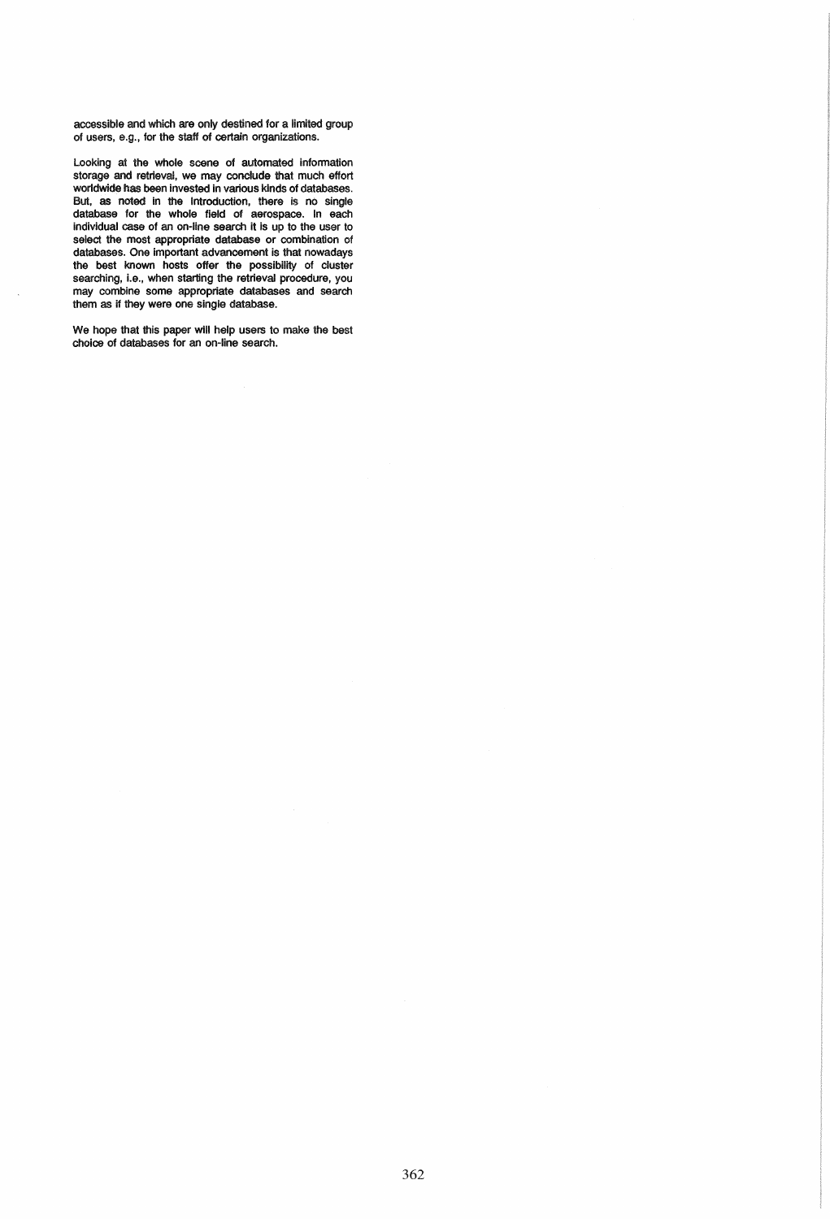accessible and which are only destined for a limited group of users, e.g., for the staff of certain organizations.

Looking at the whole scene of automated information storage and retrieval, we may conclude that much effort worldwide has been invested in various kinds of databases. But, as noted in the Introduction, there is no Single database for the whole field of aerospace. In each individual case of an on-line search it is up to the user to select the most appropriate database or combination of databases. One important advancement is that nowadays the best known hosts offer the possibility of cluster searching, i.e., when starting the retrieval procedure, you may combine some appropriate databases and search them as if they were one single database.

We hope that this paper will help users to make the best choice of databases for an on-line search.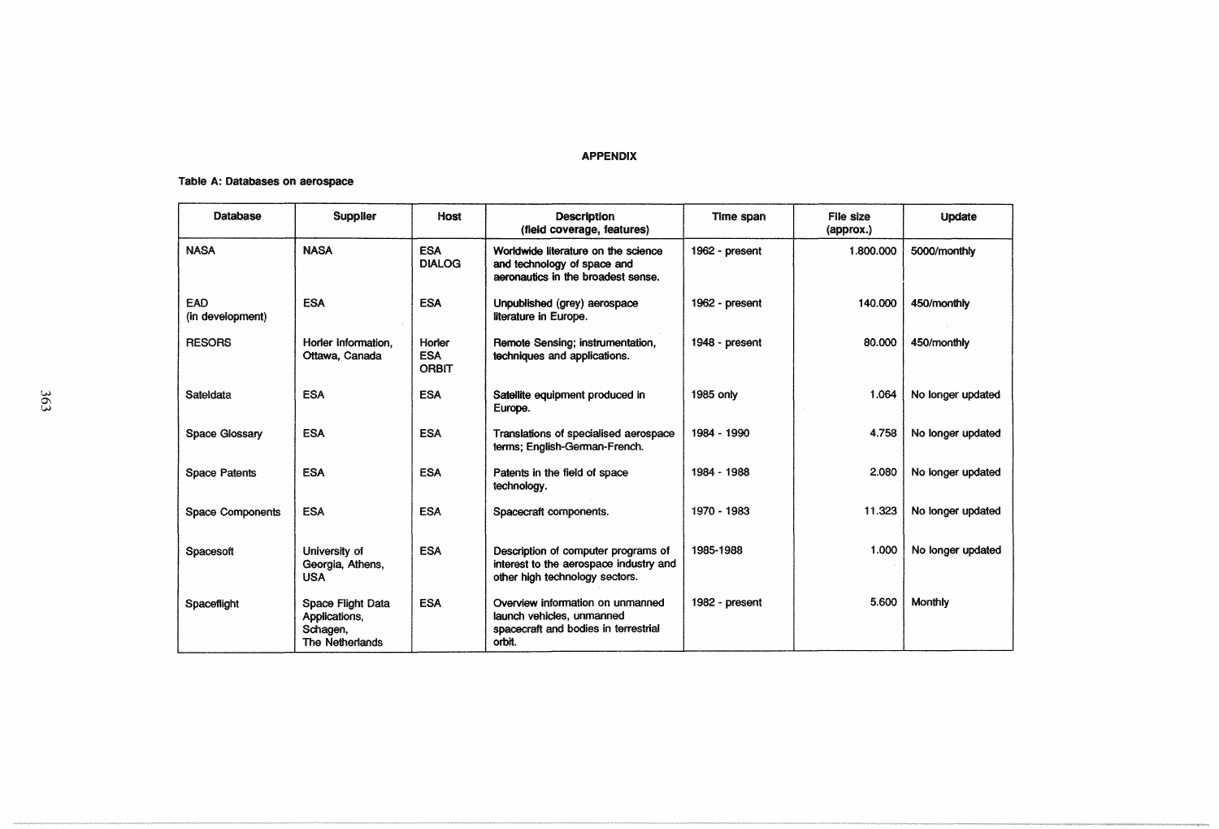### APPENDIX

## Table A: Databases on aerospace

| Database                | <b>Supplier</b>                                                   | Host                                 | <b>Description</b><br>(field coverage, features)                                                                | Time span      | File size<br>(approx.) | Update            |
|-------------------------|-------------------------------------------------------------------|--------------------------------------|-----------------------------------------------------------------------------------------------------------------|----------------|------------------------|-------------------|
| <b>NASA</b>             | <b>NASA</b>                                                       | <b>ESA</b><br><b>DIALOG</b>          | Worldwide literature on the science<br>and technology of space and<br>aeronautics in the broadest sense.        | 1962 - present | 1.800.000              | 5000/monthly      |
| EAD<br>(in development) | <b>ESA</b>                                                        | <b>ESA</b>                           | Unpublished (grey) aerospace<br>literature in Europe.                                                           | 1962 - present | 140.000                | 450/monthly       |
| <b>RESORS</b>           | Horler Information.<br>Ottawa, Canada                             | Horler<br><b>ESA</b><br><b>ORBIT</b> | Remote Sensing; instrumentation,<br>techniques and applications.                                                | 1948 - present | 80.000                 | 450/monthly       |
| Sateldata               | <b>ESA</b>                                                        | <b>ESA</b>                           | Satellite equipment produced in<br>Europe.                                                                      | 1985 only      | 1.064                  | No longer updated |
| Space Glossary          | <b>ESA</b>                                                        | <b>ESA</b>                           | Translations of specialised aerospace<br>terms; English-German-French.                                          | 1984 - 1990    | 4.758                  | No longer updated |
| <b>Space Patents</b>    | <b>ESA</b>                                                        | <b>ESA</b>                           | Patents in the field of space<br>technology.                                                                    | 1984 - 1988    | 2.080                  | No longer updated |
| Space Components        | <b>ESA</b>                                                        | <b>ESA</b>                           | Spacecraft components.                                                                                          | 1970 - 1983    | 11.323                 | No longer updated |
| Spacesoft               | University of<br>Georgia, Athens,<br><b>USA</b>                   | <b>ESA</b>                           | Description of computer programs of<br>interest to the aerospace industry and<br>other high technology sectors. | 1985-1988      | 1.000                  | No longer updated |
| Spaceflight             | Space Flight Data<br>Applications,<br>Schagen,<br>The Netherlands | <b>ESA</b>                           | Overview information on unmanned<br>launch vehicles, unmanned<br>spacecraft and bodies in terrestrial<br>orbit. | 1982 - present | 5.600                  | Monthly           |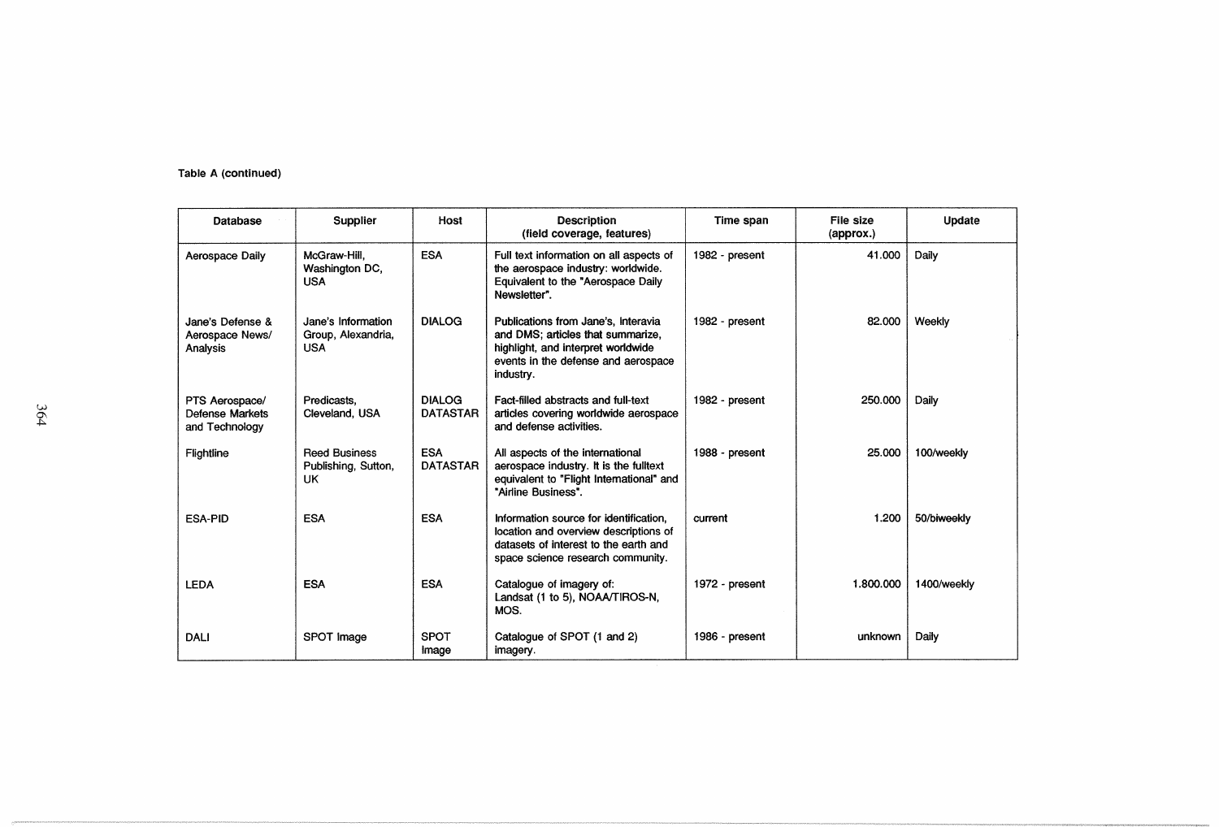| Table A (continued) |  |
|---------------------|--|
|                     |  |

| Database                                                   | Supplier                                               | Host                             | <b>Description</b><br>(field coverage, features)                                                                                                                   | Time span      | File size<br>(approx.) | Update      |
|------------------------------------------------------------|--------------------------------------------------------|----------------------------------|--------------------------------------------------------------------------------------------------------------------------------------------------------------------|----------------|------------------------|-------------|
| Aerospace Daily                                            | McGraw-Hill,<br>Washington DC,<br><b>USA</b>           | <b>ESA</b>                       | Full text information on all aspects of<br>the aerospace industry: worldwide.<br>Equivalent to the "Aerospace Daily<br>Newsletter".                                | 1982 - present | 41.000                 | Daily       |
| Jane's Defense &<br>Aerospace News/<br>Analysis            | Jane's Information<br>Group, Alexandria,<br><b>USA</b> | <b>DIALOG</b>                    | Publications from Jane's, Interavia<br>and DMS: articles that summarize.<br>highlight, and interpret worldwide<br>events in the defense and aerospace<br>industry. | 1982 - present | 82.000                 | Weekly      |
| PTS Aerospace/<br><b>Defense Markets</b><br>and Technology | Predicasts.<br>Cleveland, USA                          | <b>DIALOG</b><br><b>DATASTAR</b> | Fact-filled abstracts and full-text<br>articles covering worldwide aerospace<br>and defense activities.                                                            | 1982 - present | 250.000                | Daily       |
| Flightline                                                 | <b>Reed Business</b><br>Publishing, Sutton,<br>UK.     | <b>ESA</b><br><b>DATASTAR</b>    | All aspects of the international<br>aerospace industry. It is the fulltext<br>equivalent to "Flight International" and<br>"Airline Business".                      | 1988 - present | 25.000                 | 100/weekly  |
| <b>ESA-PID</b>                                             | <b>ESA</b>                                             | <b>ESA</b>                       | Information source for identification.<br>location and overview descriptions of<br>datasets of interest to the earth and<br>space science research community.      | current        | 1.200                  | 50/biweekly |
| <b>LEDA</b>                                                | <b>ESA</b>                                             | <b>ESA</b>                       | Catalogue of imagery of:<br>Landsat (1 to 5), NOAA/TIROS-N,<br>MOS.                                                                                                | 1972 - present | 1.800.000              | 1400/weekly |
| <b>DALI</b>                                                | SPOT Image                                             | <b>SPOT</b><br>Image             | Catalogue of SPOT (1 and 2)<br>imagery.                                                                                                                            | 1986 - present | unknown                | Daily       |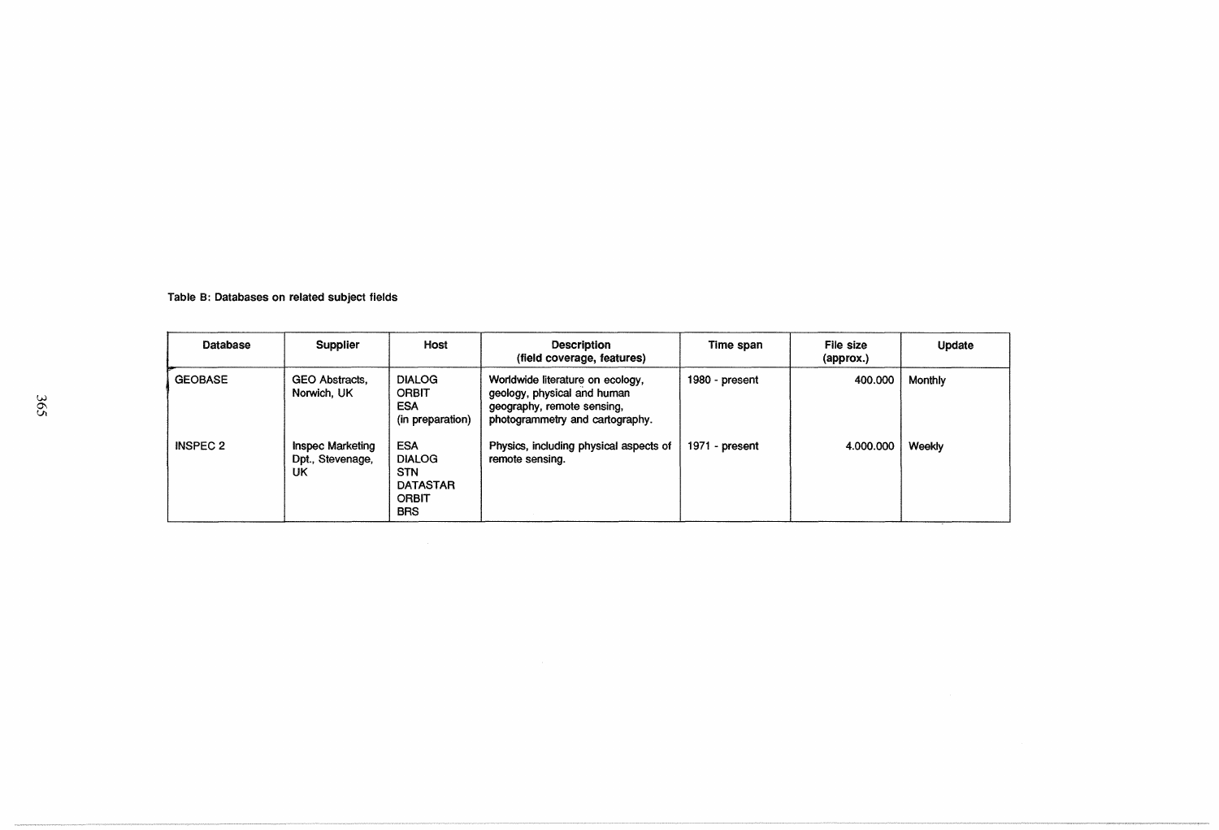| Database        | <b>Supplier</b>                                   | Host                                                                                | <b>Description</b><br>(field coverage, features)                                                                                 | Time span      | File size<br>(approx.) | Update  |
|-----------------|---------------------------------------------------|-------------------------------------------------------------------------------------|----------------------------------------------------------------------------------------------------------------------------------|----------------|------------------------|---------|
| <b>GEOBASE</b>  | GEO Abstracts,<br>Norwich, UK                     | <b>DIALOG</b><br><b>ORBIT</b><br><b>ESA</b><br>(in preparation)                     | Worldwide literature on ecology,<br>geology, physical and human<br>geography, remote sensing,<br>photogrammetry and cartography. | 1980 - present | 400.000                | Monthly |
| <b>INSPEC 2</b> | <b>Inspec Marketing</b><br>Dpt., Stevenage,<br>UK | ESA<br><b>DIALOG</b><br><b>STN</b><br><b>DATASTAR</b><br><b>ORBIT</b><br><b>BRS</b> | Physics, including physical aspects of<br>remote sensing.                                                                        | 1971 - present | 4.000.000              | Weekly  |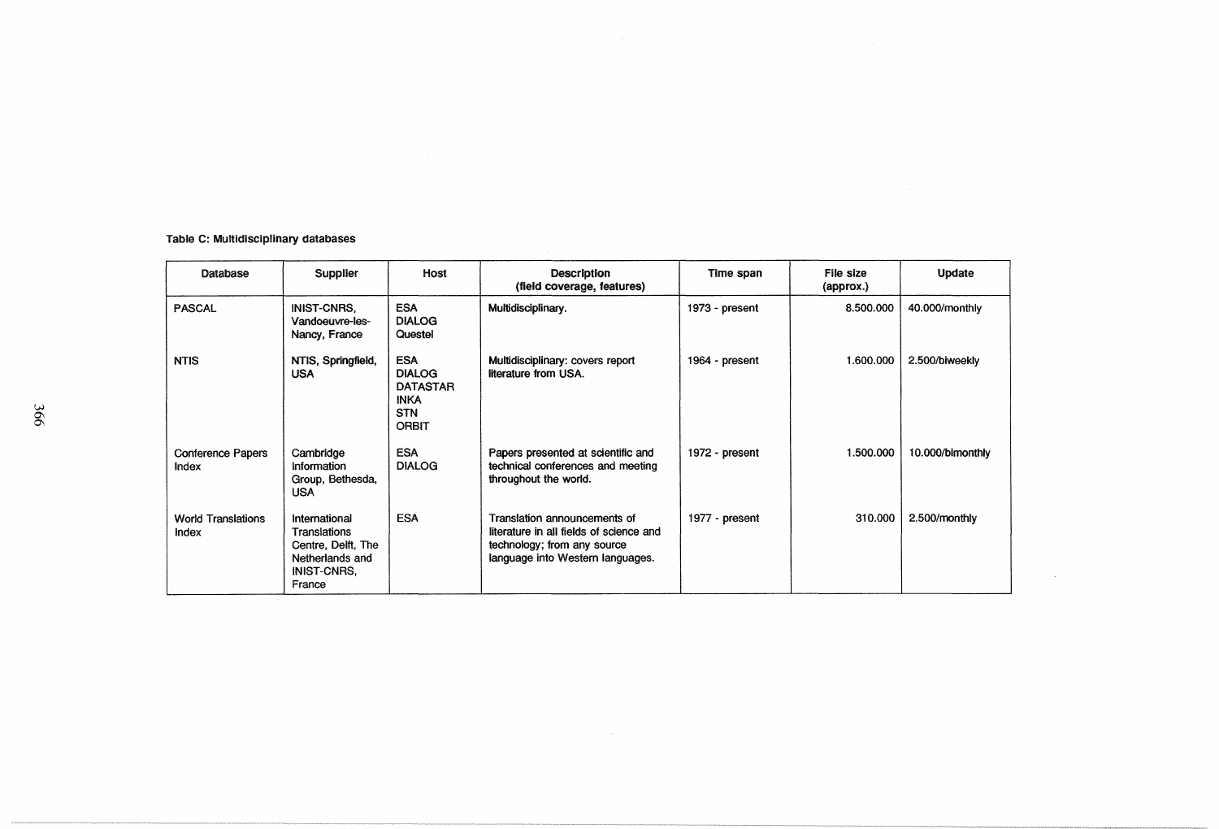# Table C: Multidisciplinary databases

| Database                           | <b>Supplier</b>                                                                                        | Host                                                                                        | <b>Description</b><br>(field coverage, features)                                                                                           | Time span      | File size<br>(approx.) | Update           |
|------------------------------------|--------------------------------------------------------------------------------------------------------|---------------------------------------------------------------------------------------------|--------------------------------------------------------------------------------------------------------------------------------------------|----------------|------------------------|------------------|
| <b>PASCAL</b>                      | <b>INIST-CNRS,</b><br>Vandoeuvre-les-<br>Nancy, France                                                 | <b>ESA</b><br><b>DIALOG</b><br>Questel                                                      | Multidisciplinary.                                                                                                                         | 1973 - present | 8.500.000              | 40.000/monthly   |
| <b>NTIS</b>                        | NTIS, Springfield,<br><b>USA</b>                                                                       | <b>ESA</b><br><b>DIALOG</b><br><b>DATASTAR</b><br><b>INKA</b><br><b>STN</b><br><b>ORBIT</b> | Multidisciplinary: covers report<br>literature from USA.                                                                                   | 1964 - present | 1.600.000              | 2.500/biweekly   |
| <b>Conference Papers</b><br>Index  | Cambridge<br>Information<br>Group, Bethesda,<br><b>USA</b>                                             | <b>ESA</b><br><b>DIALOG</b>                                                                 | Papers presented at scientific and<br>technical conferences and meeting<br>throughout the world.                                           | 1972 - present | 1.500.000              | 10.000/bimonthly |
| <b>World Translations</b><br>Index | International<br>Translations<br>Centre, Delft, The<br>Netherlands and<br><b>INIST-CNRS,</b><br>France | <b>ESA</b>                                                                                  | Translation announcements of<br>literature in all fields of science and<br>technology; from any source<br>language into Western languages. | 1977 - present | 310.000                | 2.500/monthly    |